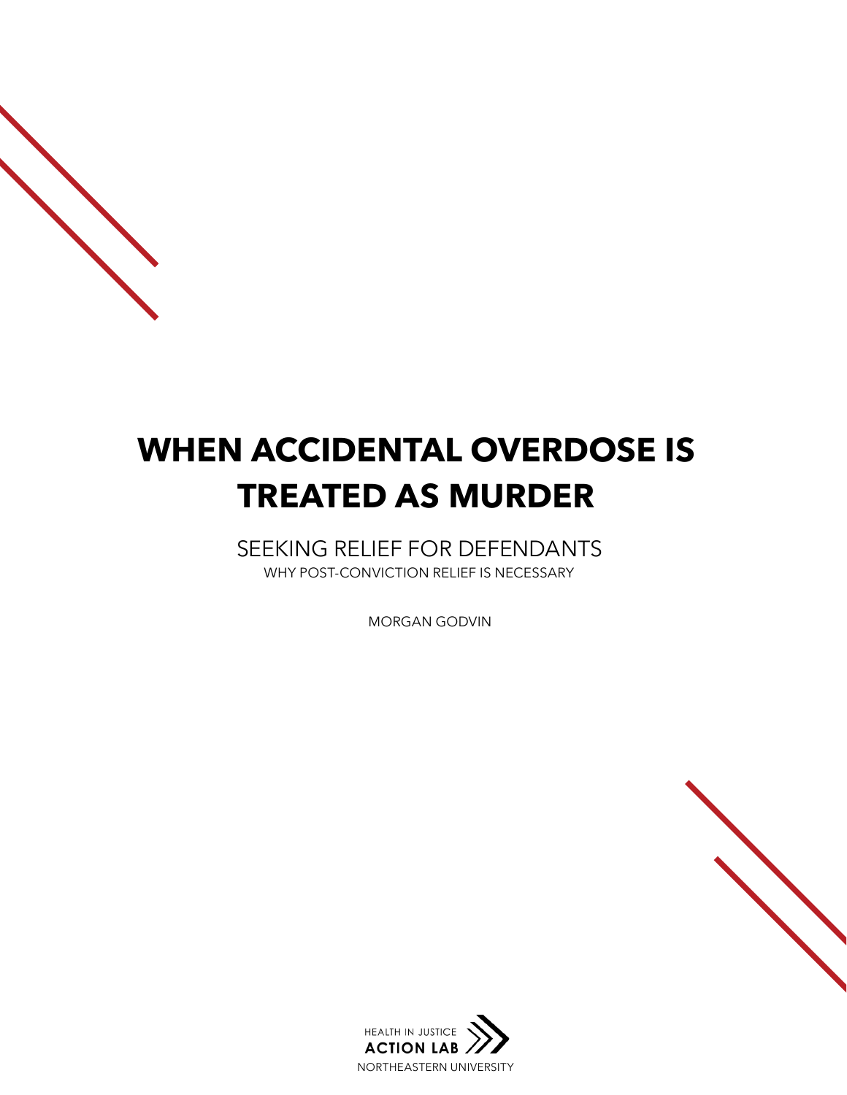# **WHEN ACCIDENTAL OVERDOSE IS TREATED AS MURDER**

SEEKING RELIEF FOR DEFENDANTS WHY POST-CONVICTION RELIEF IS NECESSARY

MORGAN GODVIN

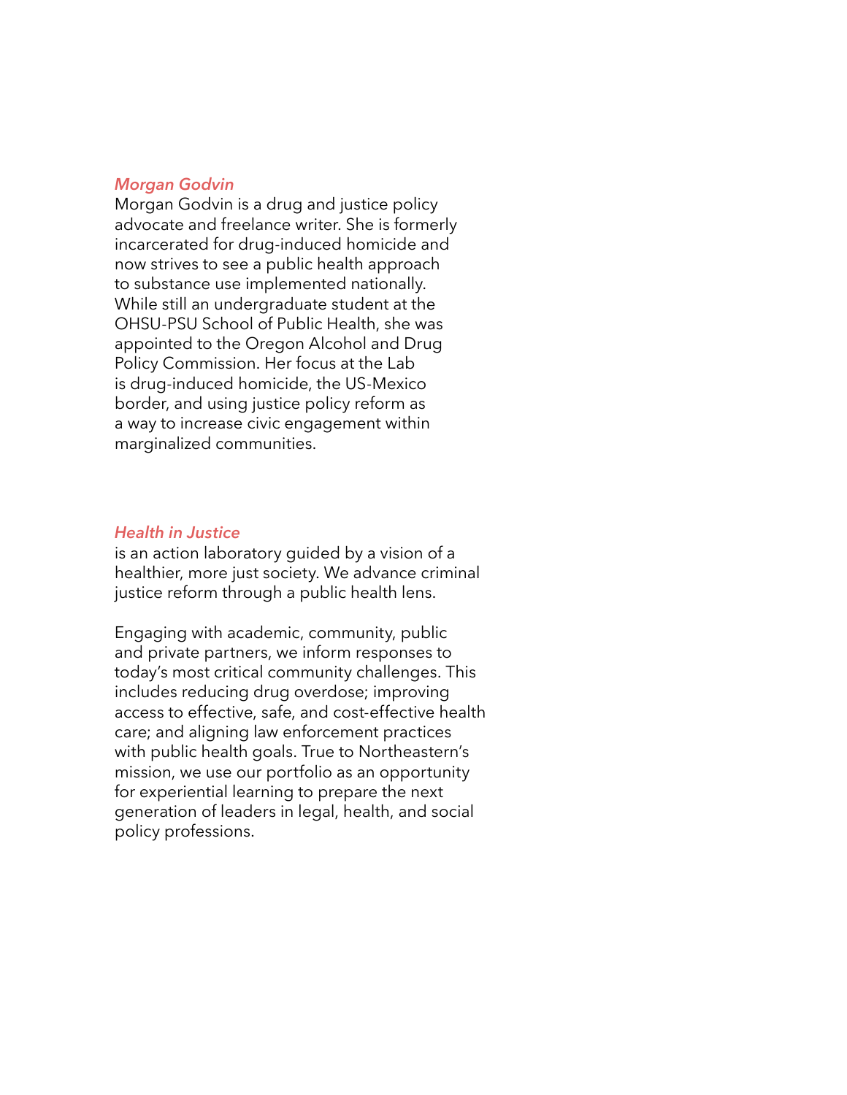#### *Morgan Godvin*

Morgan Godvin is a drug and justice policy advocate and freelance writer. She is formerly incarcerated for drug-induced homicide and now strives to see a public health approach to substance use implemented nationally. While still an undergraduate student at the OHSU-PSU School of Public Health, she was appointed to the Oregon Alcohol and Drug Policy Commission. Her focus at the Lab is drug-induced homicide, the US-Mexico border, and using justice policy reform as a way to increase civic engagement within marginalized communities.

#### *Health in Justice*

is an action laboratory guided by a vision of a healthier, more just society. We advance criminal justice reform through a public health lens.

Engaging with academic, community, public and private partners, we inform responses to today's most critical community challenges. This includes reducing drug overdose; improving access to effective, safe, and cost-effective health care; and aligning law enforcement practices with public health goals. True to Northeastern's mission, we use our portfolio as an opportunity for experiential learning to prepare the next generation of leaders in legal, health, and social policy professions.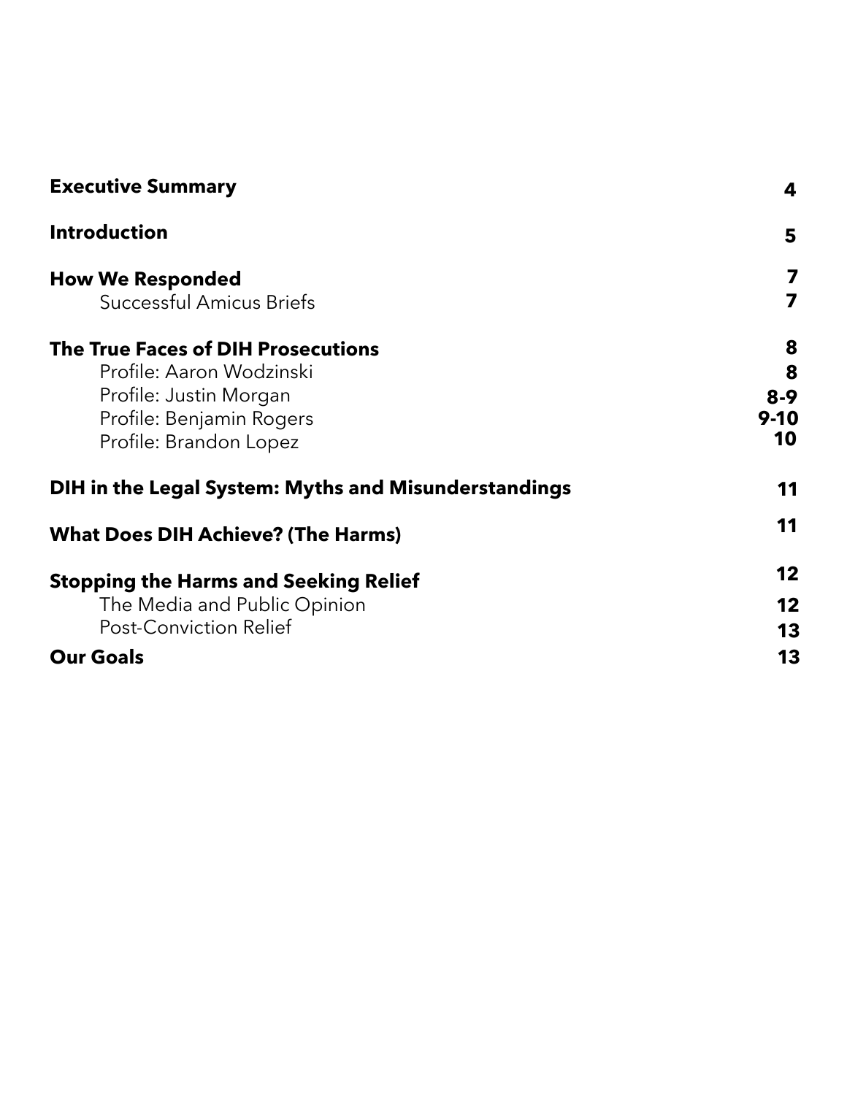| <b>Executive Summary</b>                             | 4        |
|------------------------------------------------------|----------|
| <b>Introduction</b>                                  | 5        |
| <b>How We Responded</b>                              | 7        |
| <b>Successful Amicus Briefs</b>                      | 7        |
| <b>The True Faces of DIH Prosecutions</b>            | 8        |
| Profile: Aaron Wodzinski                             | 8        |
| Profile: Justin Morgan                               | $8 - 9$  |
| Profile: Benjamin Rogers                             | $9 - 10$ |
| Profile: Brandon Lopez                               | 10       |
| DIH in the Legal System: Myths and Misunderstandings | 11       |
| <b>What Does DIH Achieve? (The Harms)</b>            | 11       |
| <b>Stopping the Harms and Seeking Relief</b>         | 12       |
| The Media and Public Opinion                         | 12       |
| <b>Post-Conviction Relief</b>                        | 13       |
| <b>Our Goals</b>                                     | 13       |
|                                                      |          |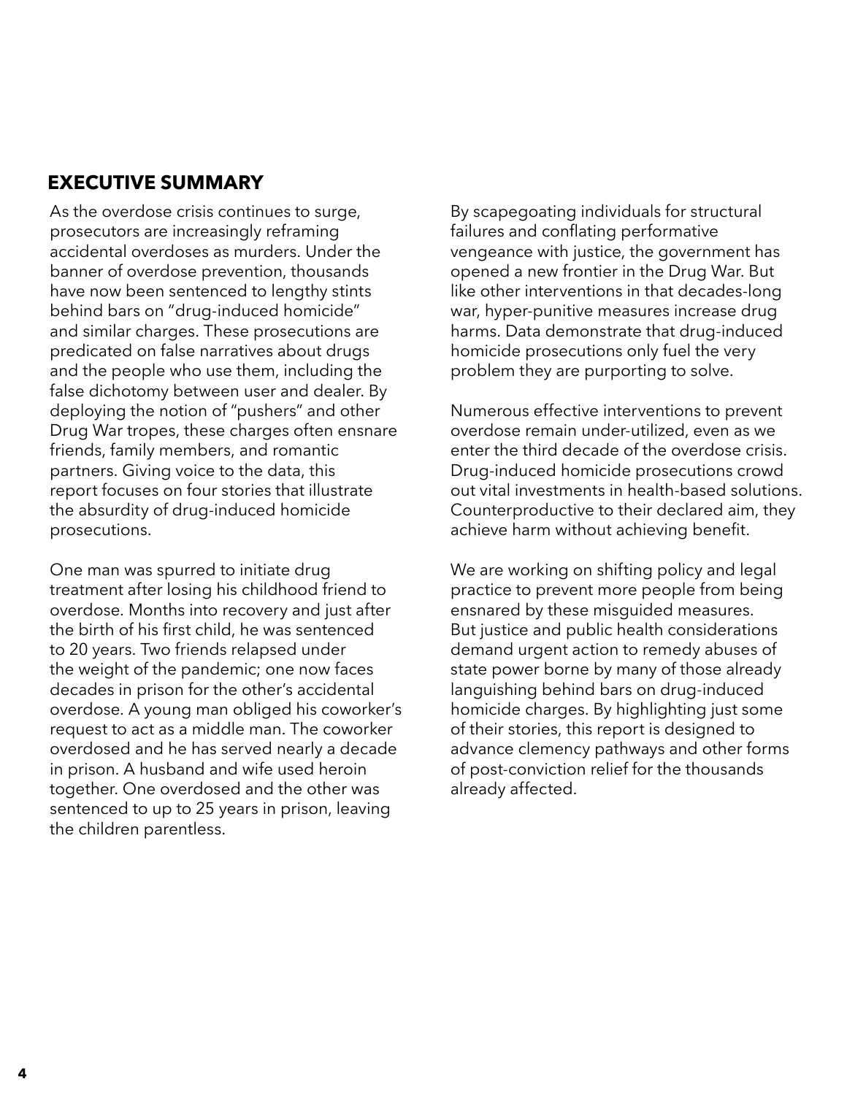## <span id="page-3-0"></span>**EXECUTIVE SUMMARY**

As the overdose crisis continues to surge, prosecutors are increasingly reframing accidental overdoses as murders. Under the banner of overdose prevention, thousands have now been sentenced to lengthy stints behind bars on "drug-induced homicide" and similar charges. These prosecutions are predicated on false narratives about drugs and the people who use them, including the false dichotomy between user and dealer. By deploying the notion of "pushers" and other Drug War tropes, these charges often ensnare friends, family members, and romantic partners. Giving voice to the data, this report focuses on four stories that illustrate the absurdity of drug-induced homicide prosecutions.

One man was spurred to initiate drug treatment after losing his childhood friend to overdose. Months into recovery and just after the birth of his first child, he was sentenced to 20 years. Two friends relapsed under the weight of the pandemic; one now faces decades in prison for the other's accidental overdose. A young man obliged his coworker's request to act as a middle man. The coworker overdosed and he has served nearly a decade in prison. A husband and wife used heroin together. One overdosed and the other was sentenced to up to 25 years in prison, leaving the children parentless.

By scapegoating individuals for structural failures and conflating performative vengeance with justice, the government has opened a new frontier in the Drug War. But like other interventions in that decades-long war, hyper-punitive measures increase drug harms. Data demonstrate that drug-induced homicide prosecutions only fuel the very problem they are purporting to solve.

Numerous effective interventions to prevent overdose remain under-utilized, even as we enter the third decade of the overdose crisis. Drug-induced homicide prosecutions crowd out vital investments in health-based solutions. Counterproductive to their declared aim, they achieve harm without achieving benefit.

We are working on shifting policy and legal practice to prevent more people from being ensnared by these misguided measures. But justice and public health considerations demand urgent action to remedy abuses of state power borne by many of those already languishing behind bars on drug-induced homicide charges. By highlighting just some of their stories, this report is designed to advance clemency pathways and other forms of post-conviction relief for the thousands already affected.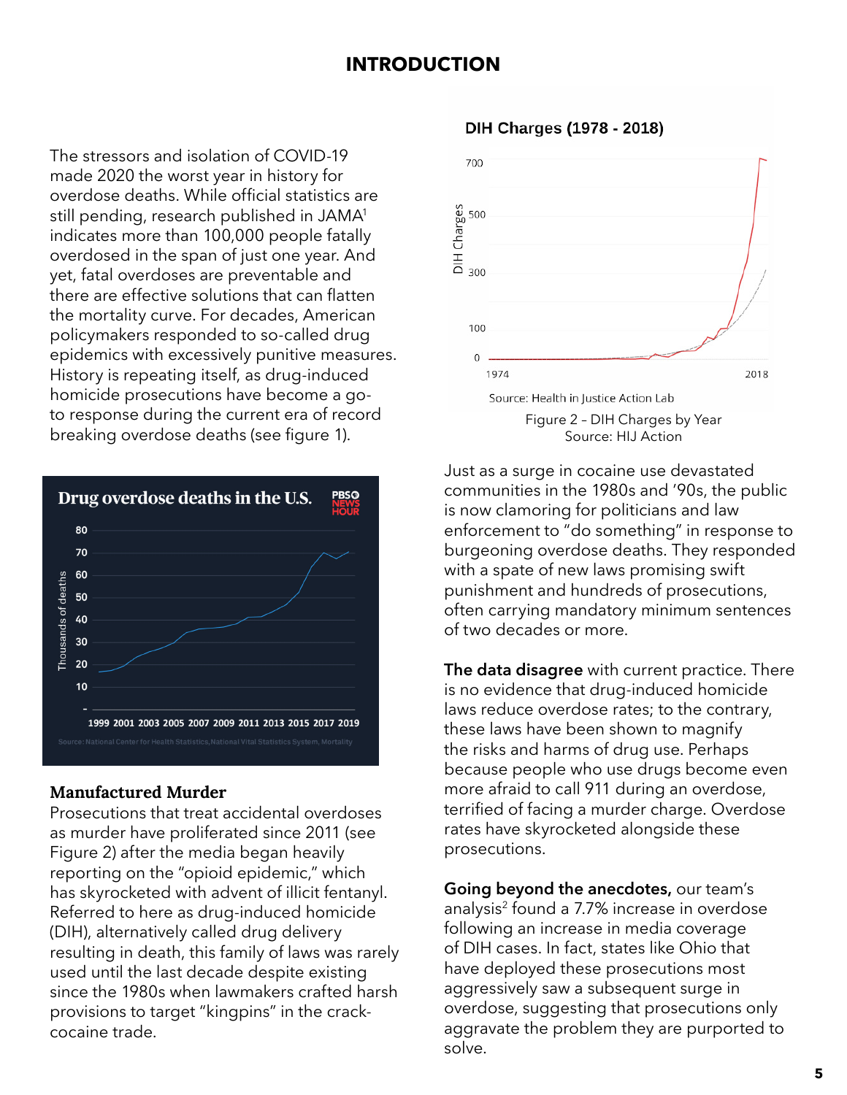## **INTRODUCTION**

<span id="page-4-0"></span>The stressors and isolation of COVID-19 made 2020 the worst year in history for overdose deaths. While official statistics are still pending, research published in JAMA<sup>1</sup> indicates more than 100,000 people fatally overdosed in the span of just one year. And yet, fatal overdoses are preventable and there are effective solutions that can flatten the mortality curve. For decades, American policymakers responded to so-called drug epidemics with excessively punitive measures. History is repeating itself, as drug-induced homicide prosecutions have become a goto response during the current era of record breaking overdose deaths (see figure 1).



#### Manufactured Murder

Prosecutions that treat accidental overdoses as murder have proliferated since 2011 (see Figure 2) after the media began heavily reporting on the "opioid epidemic," which has skyrocketed with advent of illicit fentanyl. Referred to here as drug-induced homicide (DIH), alternatively called drug delivery resulting in death, this family of laws was rarely used until the last decade despite existing since the 1980s when lawmakers crafted harsh provisions to target "kingpins" in the crackcocaine trade.

#### DIH Charges (1978 - 2018)



Just as a surge in cocaine use devastated communities in the 1980s and '90s, the public is now clamoring for politicians and law enforcement to "do something" in response to burgeoning overdose deaths. They responded with a spate of new laws promising swift punishment and hundreds of prosecutions, often carrying mandatory minimum sentences of two decades or more.

**The data disagree** with current practice. There is no evidence that drug-induced homicide laws reduce overdose rates; to the contrary, these laws have been shown to magnify the risks and harms of drug use. Perhaps because people who use drugs become even more afraid to call 911 during an overdose, terrified of facing a murder charge. Overdose rates have skyrocketed alongside these prosecutions.

**Going beyond the anecdotes,** our team's analysis2 found a 7.7% increase in overdose following an increase in media coverage of DIH cases. In fact, states like Ohio that have deployed these prosecutions most aggressively saw a subsequent surge in overdose, suggesting that prosecutions only aggravate the problem they are purported to solve.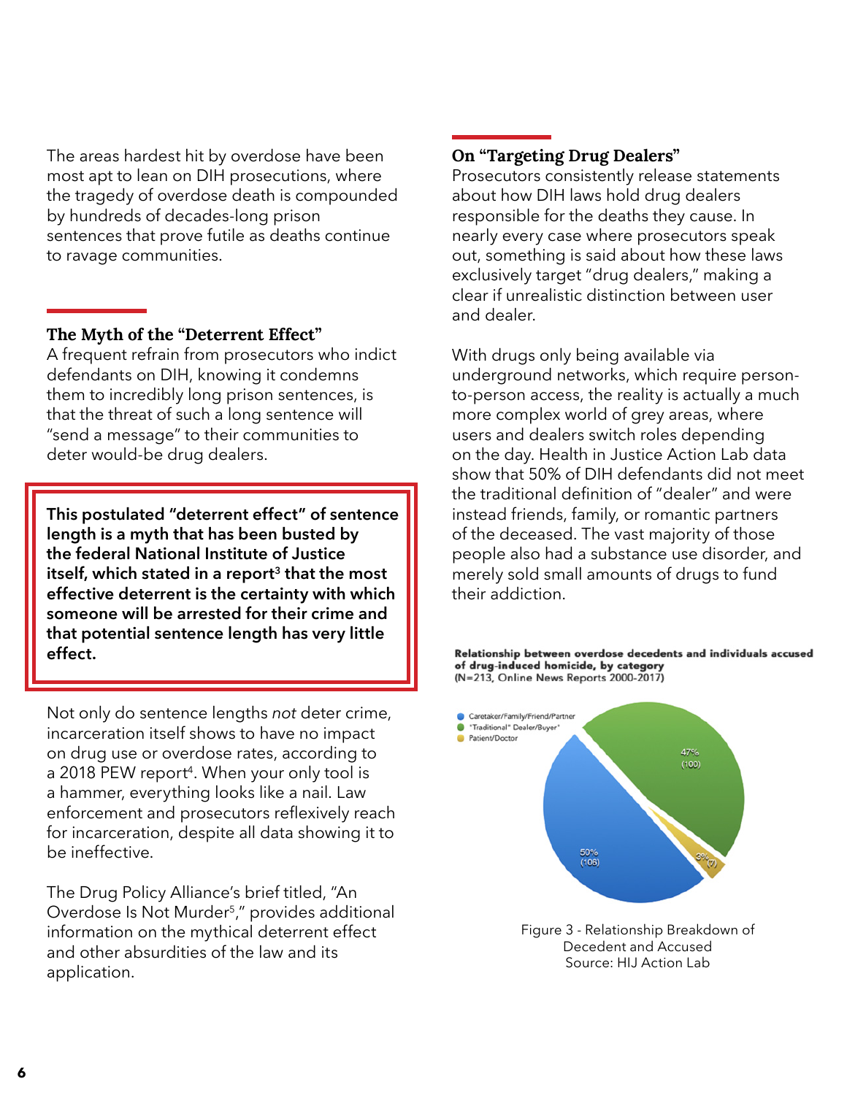The areas hardest hit by overdose have been most apt to lean on DIH prosecutions, where the tragedy of overdose death is compounded by hundreds of decades-long prison sentences that prove futile as deaths continue to ravage communities.

#### The Myth of the "Deterrent Effect"

A frequent refrain from prosecutors who indict defendants on DIH, knowing it condemns them to incredibly long prison sentences, is that the threat of such a long sentence will "send a message" to their communities to deter would-be drug dealers.

**This postulated "deterrent effect" of sentence length is a myth that has been busted by the federal National Institute of Justice itself, which stated in a report3 that the most effective deterrent is the certainty with which someone will be arrested for their crime and that potential sentence length has very little effect.** 

Not only do sentence lengths *not* deter crime, incarceration itself shows to have no impact on drug use or overdose rates, according to a 2018 PEW report<sup>4</sup>. When your only tool is a hammer, everything looks like a nail. Law enforcement and prosecutors reflexively reach for incarceration, despite all data showing it to be ineffective.

The Drug Policy Alliance's brief titled, "An Overdose Is Not Murder<sup>5</sup>," provides additional information on the mythical deterrent effect and other absurdities of the law and its application.

## On "Targeting Drug Dealers"

Prosecutors consistently release statements about how DIH laws hold drug dealers responsible for the deaths they cause. In nearly every case where prosecutors speak out, something is said about how these laws exclusively target "drug dealers," making a clear if unrealistic distinction between user and dealer.

With drugs only being available via underground networks, which require personto-person access, the reality is actually a much more complex world of grey areas, where users and dealers switch roles depending on the day. Health in Justice Action Lab data show that 50% of DIH defendants did not meet the traditional definition of "dealer" and were instead friends, family, or romantic partners of the deceased. The vast majority of those people also had a substance use disorder, and merely sold small amounts of drugs to fund their addiction.

Relationship between overdose decedents and individuals accused of drug-induced homicide, by category (N=213, Online News Reports 2000-2017)



Figure 3 - Relationship Breakdown of Decedent and Accused Source: HIJ Action Lab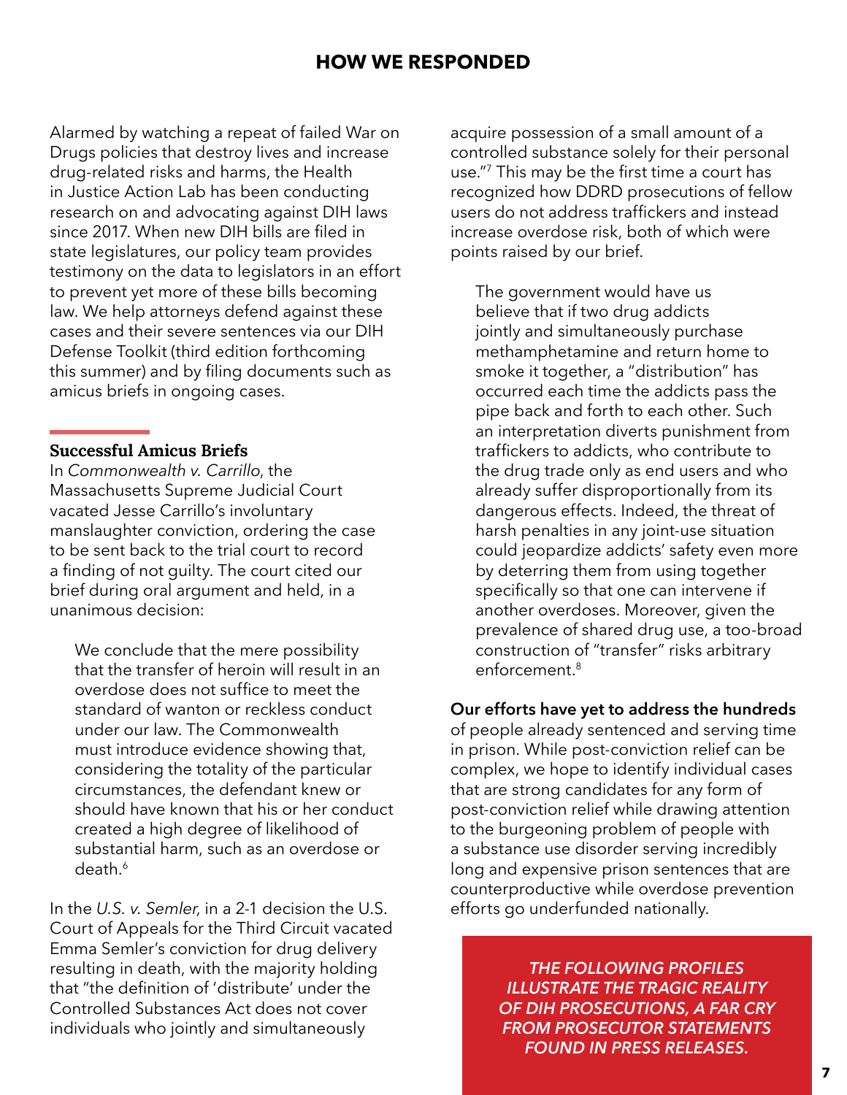## **HOW WE RESPONDED**

<span id="page-6-0"></span>Alarmed by watching a repeat of failed War on Drugs policies that destroy lives and increase drug-related risks and harms, the Health in Justice Action Lab has been conducting research on and advocating against DIH laws since 2017. When new DIH bills are filed in state legislatures, our policy team provides testimony on the data to legislators in an effort to prevent yet more of these bills becoming law. We help attorneys defend against these cases and their severe sentences via our DIH Defense Toolkit (third edition forthcoming this summer) and by filing documents such as amicus briefs in ongoing cases.

#### Successful Amicus Briefs

In *Commonwealth v. Carrillo*, the Massachusetts Supreme Judicial Court vacated Jesse Carrillo's involuntary manslaughter conviction, ordering the case to be sent back to the trial court to record a finding of not guilty. The court cited our brief during oral argument and held, in a unanimous decision:

We conclude that the mere possibility that the transfer of heroin will result in an overdose does not suffice to meet the standard of wanton or reckless conduct under our law. The Commonwealth must introduce evidence showing that, considering the totality of the particular circumstances, the defendant knew or should have known that his or her conduct created a high degree of likelihood of substantial harm, such as an overdose or death.6

In the *U.S. v. Semler*, in a 2-1 decision the U.S. Court of Appeals for the Third Circuit vacated Emma Semler's conviction for drug delivery resulting in death, with the majority holding that "the definition of 'distribute' under the Controlled Substances Act does not cover individuals who jointly and simultaneously

acquire possession of a small amount of a controlled substance solely for their personal use."7 This may be the first time a court has recognized how DDRD prosecutions of fellow users do not address traffickers and instead increase overdose risk, both of which were points raised by our brief.

The government would have us believe that if two drug addicts jointly and simultaneously purchase methamphetamine and return home to smoke it together, a "distribution" has occurred each time the addicts pass the pipe back and forth to each other. Such an interpretation diverts punishment from traffickers to addicts, who contribute to the drug trade only as end users and who already suffer disproportionally from its dangerous effects. Indeed, the threat of harsh penalties in any joint-use situation could jeopardize addicts' safety even more by deterring them from using together specifically so that one can intervene if another overdoses. Moreover, given the prevalence of shared drug use, a too-broad construction of "transfer" risks arbitrary enforcement.8

#### **Our efforts have yet to address the hundreds**

of people already sentenced and serving time in prison. While post-conviction relief can be complex, we hope to identify individual cases that are strong candidates for any form of post-conviction relief while drawing attention to the burgeoning problem of people with a substance use disorder serving incredibly long and expensive prison sentences that are counterproductive while overdose prevention efforts go underfunded nationally.

> *THE FOLLOWING PROFILES ILLUSTRATE THE TRAGIC REALITY OF DIH PROSECUTIONS, A FAR CRY FROM PROSECUTOR STATEMENTS FOUND IN PRESS RELEASES.*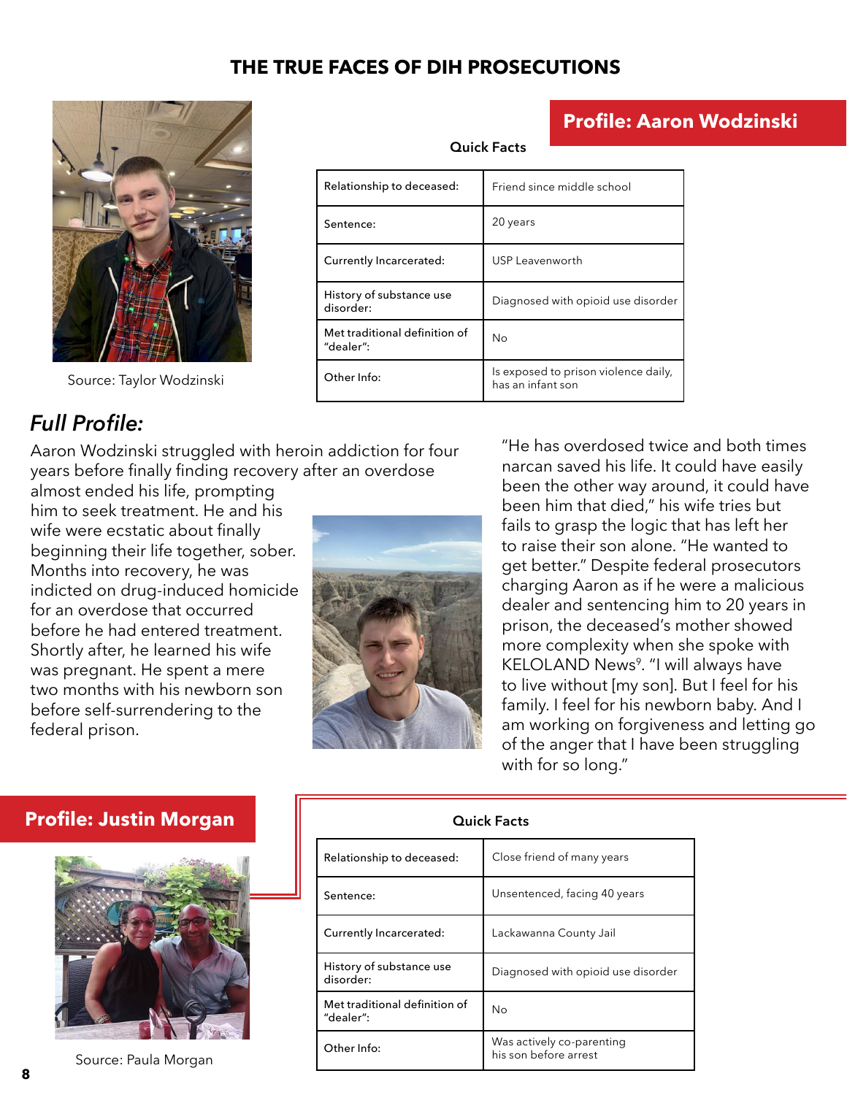## **THE TRUE FACES OF DIH PROSECUTIONS**

<span id="page-7-0"></span>

Source: Taylor Wodzinski

| <b>Quick Facts</b>                         |                                                           |  |
|--------------------------------------------|-----------------------------------------------------------|--|
| Relationship to deceased:                  | Friend since middle school                                |  |
| Sentence:                                  | 20 years                                                  |  |
| Currently Incarcerated:                    | USP Leavenworth                                           |  |
| History of substance use<br>disorder:      | Diagnosed with opioid use disorder                        |  |
| Met traditional definition of<br>"dealer": | No                                                        |  |
| Other Info:                                | Is exposed to prison violence daily,<br>has an infant son |  |

## *Full Profile:*

Aaron Wodzinski struggled with heroin addiction for four years before finally finding recovery after an overdose

almost ended his life, prompting him to seek treatment. He and his wife were ecstatic about finally beginning their life together, sober. Months into recovery, he was indicted on drug-induced homicide for an overdose that occurred before he had entered treatment. Shortly after, he learned his wife was pregnant. He spent a mere two months with his newborn son before self-surrendering to the federal prison.



"He has overdosed twice and both times narcan saved his life. It could have easily been the other way around, it could have been him that died," his wife tries but fails to grasp the logic that has left her to raise their son alone. "He wanted to get better." Despite federal prosecutors charging Aaron as if he were a malicious dealer and sentencing him to 20 years in prison, the deceased's mother showed more complexity when she spoke with KELOLAND News<sup>9</sup>. "I will always have to live without [my son]. But I feel for his family. I feel for his newborn baby. And I am working on forgiveness and letting go of the anger that I have been struggling with for so long."

**Profile: Aaron Wodzinski**

## **Profile: Justin Morgan**



```
Source: Paula Morgan
```

| <b>Quick Facts</b>                         |                                                    |  |
|--------------------------------------------|----------------------------------------------------|--|
| Relationship to deceased:                  | Close friend of many years                         |  |
| Sentence:                                  | Unsentenced, facing 40 years                       |  |
| Currently Incarcerated:                    | Lackawanna County Jail                             |  |
| History of substance use<br>disorder:      | Diagnosed with opioid use disorder                 |  |
| Met traditional definition of<br>"dealer": | Nο                                                 |  |
| Other Info:                                | Was actively co-parenting<br>his son before arrest |  |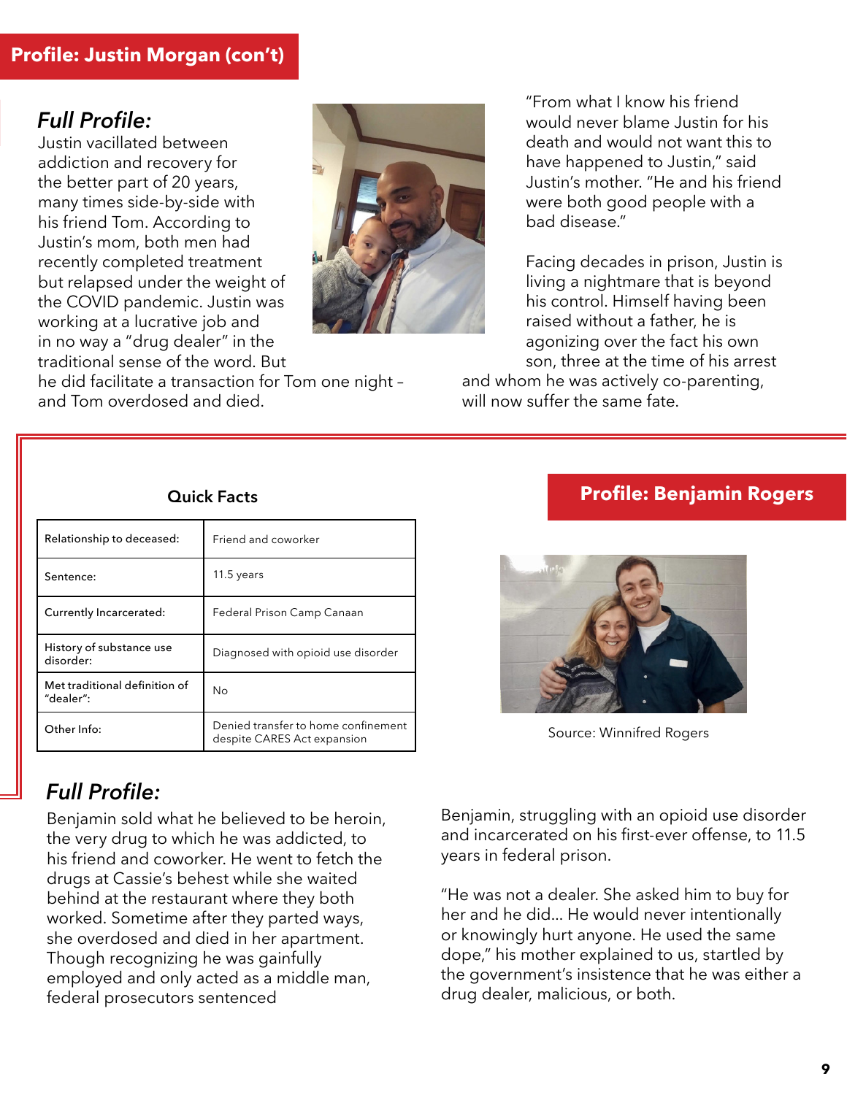## <span id="page-8-0"></span>*Full Profile:*

Justin vacillated between addiction and recovery for the better part of 20 years, many times side-by-side with his friend Tom. According to Justin's mom, both men had recently completed treatment but relapsed under the weight of the COVID pandemic. Justin was working at a lucrative job and in no way a "drug dealer" in the traditional sense of the word. But



he did facilitate a transaction for Tom one night – and Tom overdosed and died.

"From what I know his friend would never blame Justin for his death and would not want this to have happened to Justin," said Justin's mother. "He and his friend were both good people with a bad disease."

Facing decades in prison, Justin is living a nightmare that is beyond his control. Himself having been raised without a father, he is agonizing over the fact his own son, three at the time of his arrest

and whom he was actively co-parenting, will now suffer the same fate.

#### **Quick Facts**

| Relationship to deceased:                  | Friend and coworker                                                |
|--------------------------------------------|--------------------------------------------------------------------|
| Sentence:                                  | 11.5 years                                                         |
| Currently Incarcerated:                    | Federal Prison Camp Canaan                                         |
| History of substance use<br>disorder:      | Diagnosed with opioid use disorder                                 |
| Met traditional definition of<br>"dealer": | No                                                                 |
| Other Info:                                | Denied transfer to home confinement<br>despite CARES Act expansion |

## *Full Profile:*

Benjamin sold what he believed to be heroin, the very drug to which he was addicted, to his friend and coworker. He went to fetch the drugs at Cassie's behest while she waited behind at the restaurant where they both worked. Sometime after they parted ways, she overdosed and died in her apartment. Though recognizing he was gainfully employed and only acted as a middle man, federal prosecutors sentenced

## **Profile: Benjamin Rogers**



Source: Winnifred Rogers

Benjamin, struggling with an opioid use disorder and incarcerated on his first-ever offense, to 11.5 years in federal prison.

"He was not a dealer. She asked him to buy for her and he did... He would never intentionally or knowingly hurt anyone. He used the same dope," his mother explained to us, startled by the government's insistence that he was either a drug dealer, malicious, or both.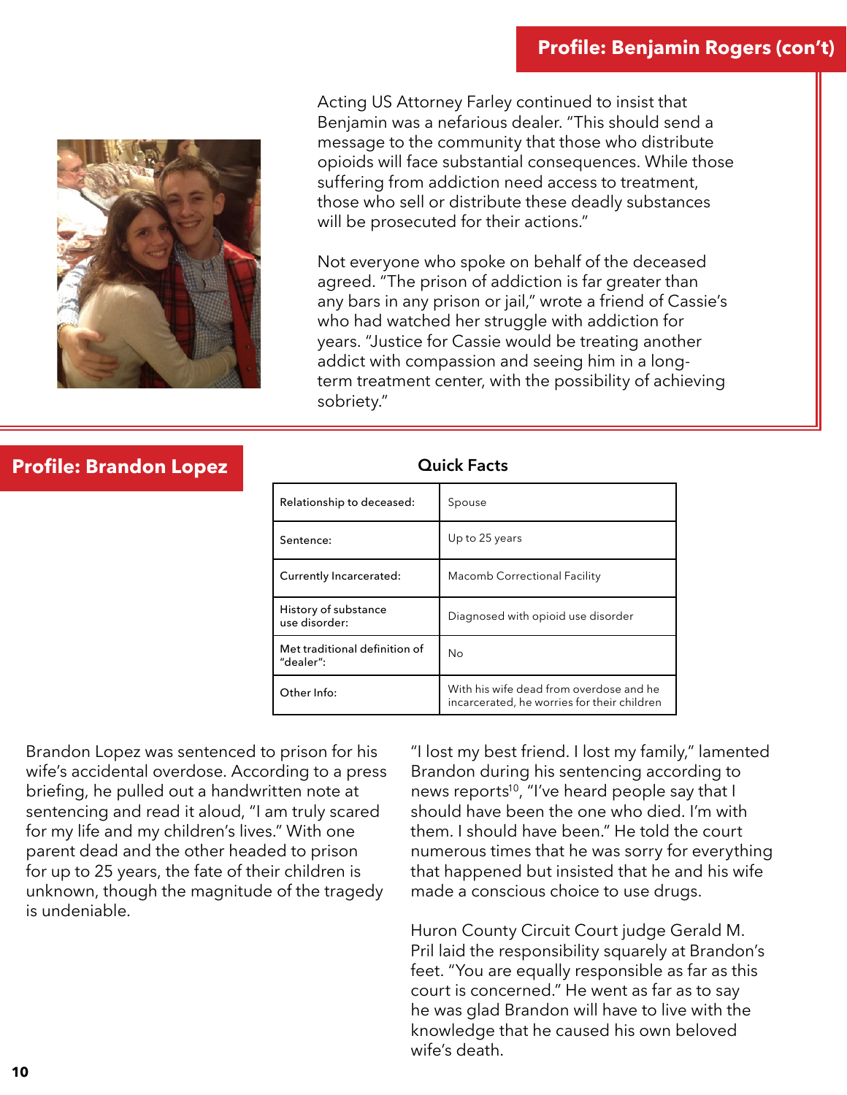## **Profile: Benjamin Rogers (con't)**

<span id="page-9-0"></span>

Acting US Attorney Farley continued to insist that Benjamin was a nefarious dealer. "This should send a message to the community that those who distribute opioids will face substantial consequences. While those suffering from addiction need access to treatment, those who sell or distribute these deadly substances will be prosecuted for their actions."

Not everyone who spoke on behalf of the deceased agreed. "The prison of addiction is far greater than any bars in any prison or jail," wrote a friend of Cassie's who had watched her struggle with addiction for years. "Justice for Cassie would be treating another addict with compassion and seeing him in a longterm treatment center, with the possibility of achieving sobriety."

## **Profile: Brandon Lopez**

| Relationship to deceased:                  | Spouse                                                                                 |
|--------------------------------------------|----------------------------------------------------------------------------------------|
| Sentence:                                  | Up to 25 years                                                                         |
| Currently Incarcerated:                    | Macomb Correctional Facility                                                           |
| History of substance<br>use disorder:      | Diagnosed with opioid use disorder                                                     |
| Met traditional definition of<br>"dealer": | Nο                                                                                     |
| Other Info:                                | With his wife dead from overdose and he<br>incarcerated, he worries for their children |

**Quick Facts**

Brandon Lopez was sentenced to prison for his wife's accidental overdose. According to a press briefing, he pulled out a handwritten note at sentencing and read it aloud, "I am truly scared for my life and my children's lives." With one parent dead and the other headed to prison for up to 25 years, the fate of their children is unknown, though the magnitude of the tragedy is undeniable.

"I lost my best friend. I lost my family," lamented Brandon during his sentencing according to news reports<sup>10</sup>, "I've heard people say that I should have been the one who died. I'm with them. I should have been." He told the court numerous times that he was sorry for everything that happened but insisted that he and his wife made a conscious choice to use drugs.

Huron County Circuit Court judge Gerald M. Pril laid the responsibility squarely at Brandon's feet. "You are equally responsible as far as this court is concerned." He went as far as to say he was glad Brandon will have to live with the knowledge that he caused his own beloved wife's death.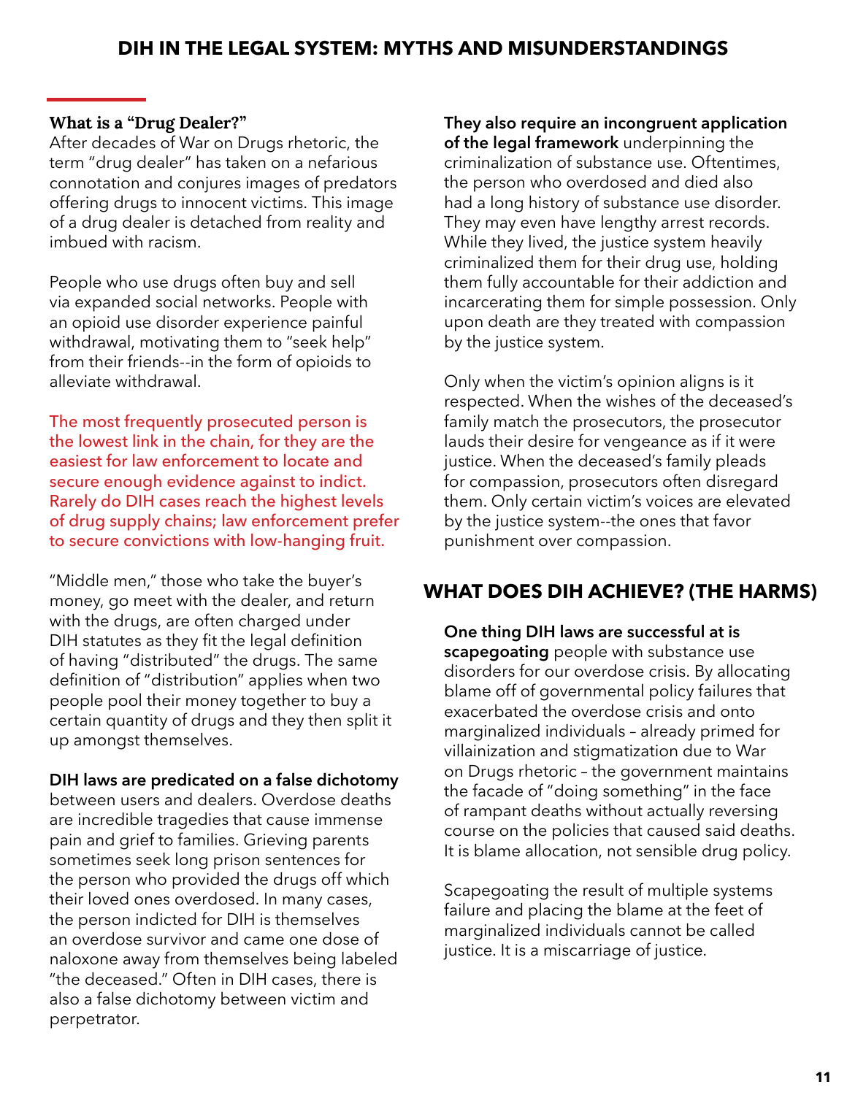## <span id="page-10-0"></span>What is a "Drug Dealer?"

After decades of War on Drugs rhetoric, the term "drug dealer" has taken on a nefarious connotation and conjures images of predators offering drugs to innocent victims. This image of a drug dealer is detached from reality and imbued with racism.

People who use drugs often buy and sell via expanded social networks. People with an opioid use disorder experience painful withdrawal, motivating them to "seek help" from their friends--in the form of opioids to alleviate withdrawal.

The most frequently prosecuted person is the lowest link in the chain, for they are the easiest for law enforcement to locate and secure enough evidence against to indict. Rarely do DIH cases reach the highest levels of drug supply chains; law enforcement prefer to secure convictions with low-hanging fruit.

"Middle men," those who take the buyer's money, go meet with the dealer, and return with the drugs, are often charged under DIH statutes as they fit the legal definition of having "distributed" the drugs. The same definition of "distribution" applies when two people pool their money together to buy a certain quantity of drugs and they then split it up amongst themselves.

## **DIH laws are predicated on a false dichotomy**

between users and dealers. Overdose deaths are incredible tragedies that cause immense pain and grief to families. Grieving parents sometimes seek long prison sentences for the person who provided the drugs off which their loved ones overdosed. In many cases, the person indicted for DIH is themselves an overdose survivor and came one dose of naloxone away from themselves being labeled "the deceased." Often in DIH cases, there is also a false dichotomy between victim and perpetrator.

**They also require an incongruent application of the legal framework** underpinning the criminalization of substance use. Oftentimes, the person who overdosed and died also had a long history of substance use disorder. They may even have lengthy arrest records. While they lived, the justice system heavily criminalized them for their drug use, holding them fully accountable for their addiction and incarcerating them for simple possession. Only upon death are they treated with compassion by the justice system.

Only when the victim's opinion aligns is it respected. When the wishes of the deceased's family match the prosecutors, the prosecutor lauds their desire for vengeance as if it were justice. When the deceased's family pleads for compassion, prosecutors often disregard them. Only certain victim's voices are elevated by the justice system--the ones that favor punishment over compassion.

## **WHAT DOES DIH ACHIEVE? (THE HARMS)**

**One thing DIH laws are successful at is scapegoating** people with substance use disorders for our overdose crisis. By allocating blame off of governmental policy failures that exacerbated the overdose crisis and onto marginalized individuals – already primed for villainization and stigmatization due to War on Drugs rhetoric – the government maintains the facade of "doing something" in the face of rampant deaths without actually reversing course on the policies that caused said deaths. It is blame allocation, not sensible drug policy.

Scapegoating the result of multiple systems failure and placing the blame at the feet of marginalized individuals cannot be called justice. It is a miscarriage of justice.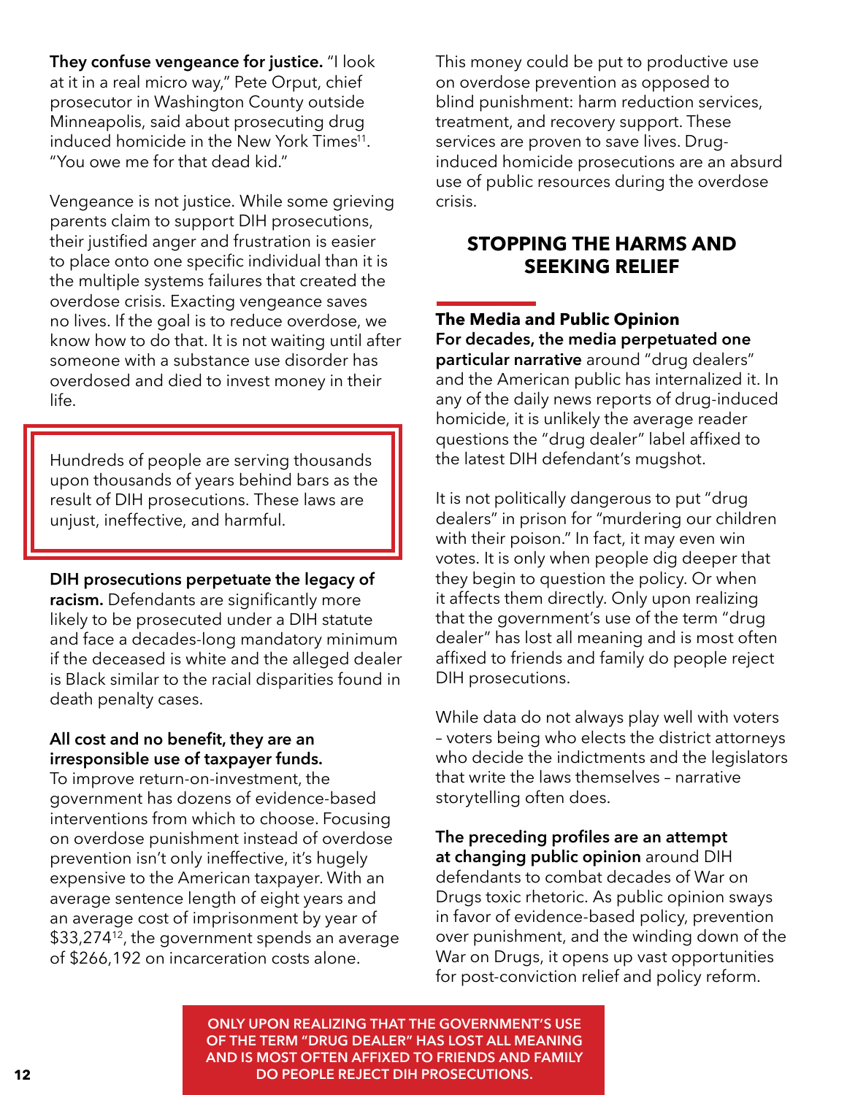<span id="page-11-0"></span>**They confuse vengeance for justice.** "I look at it in a real micro way," Pete Orput, chief prosecutor in Washington County outside Minneapolis, said about prosecuting drug induced homicide in the New York Times<sup>11</sup>. "You owe me for that dead kid."

Vengeance is not justice. While some grieving parents claim to support DIH prosecutions, their justified anger and frustration is easier to place onto one specific individual than it is the multiple systems failures that created the overdose crisis. Exacting vengeance saves no lives. If the goal is to reduce overdose, we know how to do that. It is not waiting until after someone with a substance use disorder has overdosed and died to invest money in their life.

Hundreds of people are serving thousands upon thousands of years behind bars as the result of DIH prosecutions. These laws are unjust, ineffective, and harmful.

#### **DIH prosecutions perpetuate the legacy of**

**racism.** Defendants are significantly more likely to be prosecuted under a DIH statute and face a decades-long mandatory minimum if the deceased is white and the alleged dealer is Black similar to the racial disparities found in death penalty cases.

#### **All cost and no benefit, they are an irresponsible use of taxpayer funds.**

To improve return-on-investment, the government has dozens of evidence-based interventions from which to choose. Focusing on overdose punishment instead of overdose prevention isn't only ineffective, it's hugely expensive to the American taxpayer. With an average sentence length of eight years and an average cost of imprisonment by year of \$33,274<sup>12</sup>, the government spends an average of \$266,192 on incarceration costs alone.

This money could be put to productive use on overdose prevention as opposed to blind punishment: harm reduction services, treatment, and recovery support. These services are proven to save lives. Druginduced homicide prosecutions are an absurd use of public resources during the overdose crisis.

## **STOPPING THE HARMS AND SEEKING RELIEF**

## **The Media and Public Opinion**

**For decades, the media perpetuated one particular narrative** around "drug dealers" and the American public has internalized it. In any of the daily news reports of drug-induced homicide, it is unlikely the average reader questions the "drug dealer" label affixed to the latest DIH defendant's mugshot.

It is not politically dangerous to put "drug dealers" in prison for "murdering our children with their poison." In fact, it may even win votes. It is only when people dig deeper that they begin to question the policy. Or when it affects them directly. Only upon realizing that the government's use of the term "drug dealer" has lost all meaning and is most often affixed to friends and family do people reject DIH prosecutions.

While data do not always play well with voters – voters being who elects the district attorneys who decide the indictments and the legislators that write the laws themselves – narrative storytelling often does.

**The preceding profiles are an attempt at changing public opinion** around DIH defendants to combat decades of War on Drugs toxic rhetoric. As public opinion sways in favor of evidence-based policy, prevention over punishment, and the winding down of the War on Drugs, it opens up vast opportunities for post-conviction relief and policy reform.

**ONLY UPON REALIZING THAT THE GOVERNMENT'S USE OF THE TERM "DRUG DEALER" HAS LOST ALL MEANING AND IS MOST OFTEN AFFIXED TO FRIENDS AND FAMILY 12 DO PEOPLE REJECT DIH PROSECUTIONS.**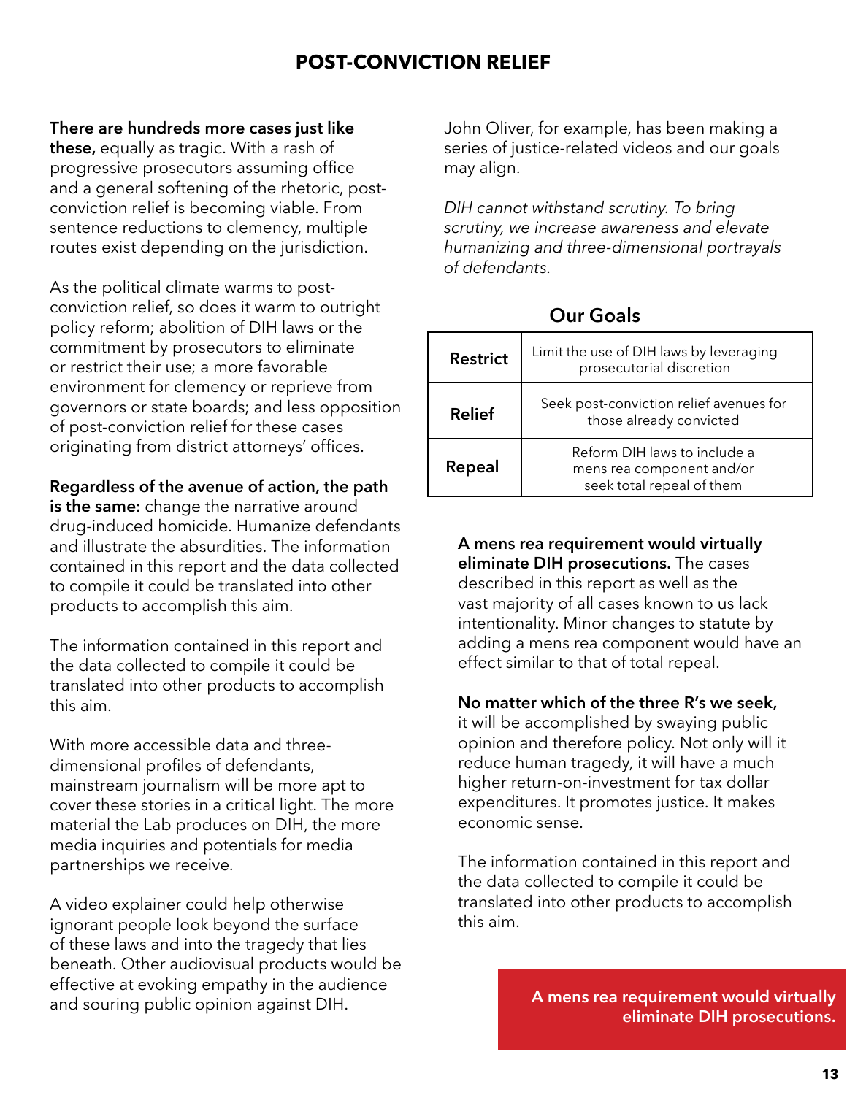## **POST-CONVICTION RELIEF**

#### <span id="page-12-0"></span>**There are hundreds more cases just like**

**these,** equally as tragic. With a rash of progressive prosecutors assuming office and a general softening of the rhetoric, postconviction relief is becoming viable. From sentence reductions to clemency, multiple routes exist depending on the jurisdiction.

As the political climate warms to postconviction relief, so does it warm to outright policy reform; abolition of DIH laws or the commitment by prosecutors to eliminate or restrict their use; a more favorable environment for clemency or reprieve from governors or state boards; and less opposition of post-conviction relief for these cases originating from district attorneys' offices.

#### **Regardless of the avenue of action, the path**

**is the same:** change the narrative around drug-induced homicide. Humanize defendants and illustrate the absurdities. The information contained in this report and the data collected to compile it could be translated into other products to accomplish this aim.

The information contained in this report and the data collected to compile it could be translated into other products to accomplish this aim.

With more accessible data and threedimensional profiles of defendants, mainstream journalism will be more apt to cover these stories in a critical light. The more material the Lab produces on DIH, the more media inquiries and potentials for media partnerships we receive.

A video explainer could help otherwise ignorant people look beyond the surface of these laws and into the tragedy that lies beneath. Other audiovisual products would be effective at evoking empathy in the audience and souring public opinion against DIH.

John Oliver, for example, has been making a series of justice-related videos and our goals may align.

*DIH cannot withstand scrutiny. To bring scrutiny, we increase awareness and elevate humanizing and three-dimensional portrayals of defendants.* 

| <b>Restrict</b> | Limit the use of DIH laws by leveraging<br>prosecutorial discretion                    |
|-----------------|----------------------------------------------------------------------------------------|
| <b>Relief</b>   | Seek post-conviction relief avenues for<br>those already convicted                     |
| Repeal          | Reform DIH laws to include a<br>mens rea component and/or<br>seek total repeal of them |

## **Our Goals**

**A mens rea requirement would virtually eliminate DIH prosecutions.** The cases described in this report as well as the

vast majority of all cases known to us lack intentionality. Minor changes to statute by adding a mens rea component would have an effect similar to that of total repeal.

#### **No matter which of the three R's we seek,**

it will be accomplished by swaying public opinion and therefore policy. Not only will it reduce human tragedy, it will have a much higher return-on-investment for tax dollar expenditures. It promotes justice. It makes economic sense.

The information contained in this report and the data collected to compile it could be translated into other products to accomplish this aim.

> **A mens rea requirement would virtually eliminate DIH prosecutions.**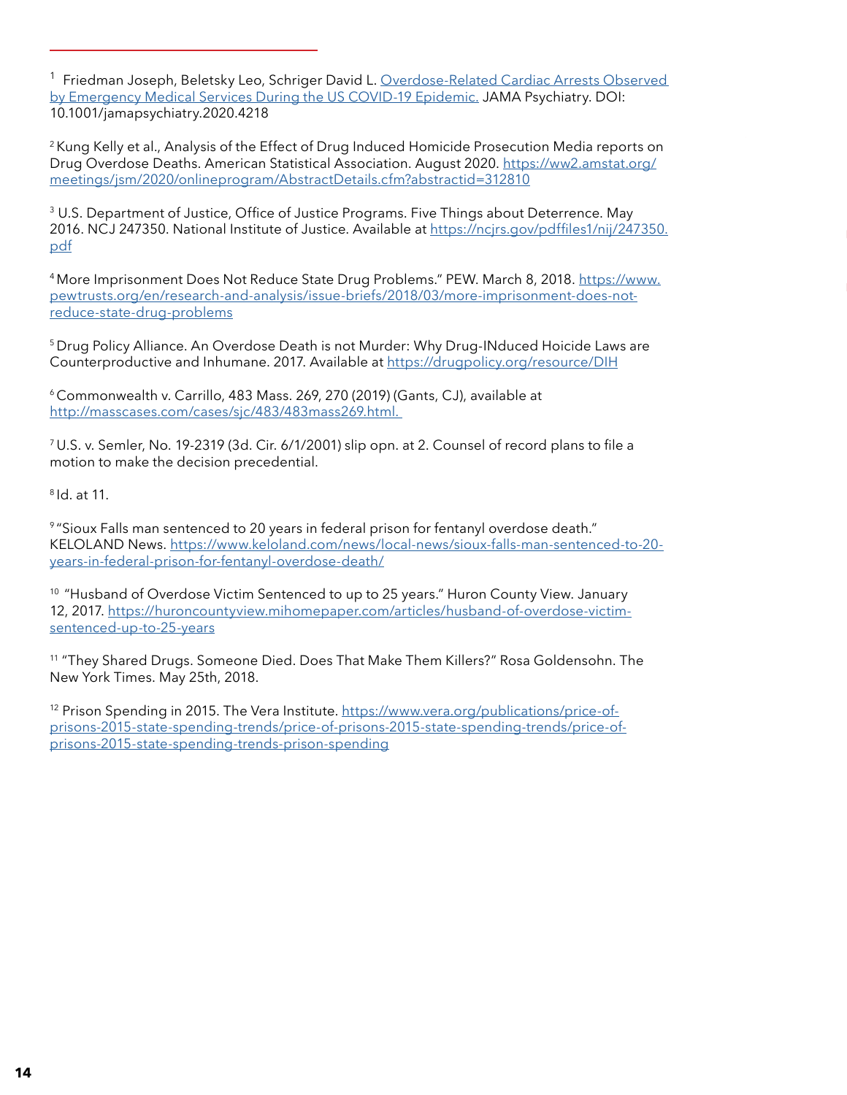<sup>1</sup> Friedman Joseph, Beletsky Leo, Schriger David L. Overdose-Related Cardiac Arrests Observed [by Emergency Medical Services During the US COVID-19 Epidemic.](https://jamanetwork.com/journals/jamapsychiatry/fullarticle/2773768) JAMA Psychiatry. DOI: 10.1001/jamapsychiatry.2020.4218

<sup>2</sup> Kung Kelly et al., Analysis of the Effect of Drug Induced Homicide Prosecution Media reports on Drug Overdose Deaths. American Statistical Association. August 2020. [https://ww2.amstat.org/](https://ww2.amstat.org/meetings/jsm/2020/onlineprogram/AbstractDetails.cfm?abstractid=312810) [meetings/jsm/2020/onlineprogram/AbstractDetails.cfm?abstractid=312810](https://ww2.amstat.org/meetings/jsm/2020/onlineprogram/AbstractDetails.cfm?abstractid=312810)

<sup>3</sup> U.S. Department of Justice, Office of Justice Programs. Five Things about Deterrence. May 2016. NCJ 247350. National Institute of Justice. Available at [https://ncjrs.gov/pdffiles1/nij/247350.](https://ncjrs.gov/pdffiles1/nij/247350.pdf.) [pdf](https://ncjrs.gov/pdffiles1/nij/247350.pdf.)

<sup>4</sup> More Imprisonment Does Not Reduce State Drug Problems." PEW. March 8, 2018. [https://www.](https://www.pewtrusts.org/en/research-and-analysis/issue-briefs/2018/03/more-imprisonment-does-not-reduce-state-drug-problems) [pewtrusts.org/en/research-and-analysis/issue-briefs/2018/03/more-imprisonment-does-not](https://www.pewtrusts.org/en/research-and-analysis/issue-briefs/2018/03/more-imprisonment-does-not-reduce-state-drug-problems)[reduce-state-drug-problems](https://www.pewtrusts.org/en/research-and-analysis/issue-briefs/2018/03/more-imprisonment-does-not-reduce-state-drug-problems)

<sup>5</sup> Drug Policy Alliance. An Overdose Death is not Murder: Why Drug-INduced Hoicide Laws are Counterproductive and Inhumane. 2017. Available at <https://drugpolicy.org/resource/DIH>

<sup>6</sup>Commonwealth v. Carrillo, 483 Mass. 269, 270 (2019) (Gants, CJ), available at [http://masscases.com/cases/sjc/483/483mass269.html.](http://masscases.com/cases/sjc/483/483mass269.html) 

<sup>7</sup>U.S. v. Semler, No. 19-2319 (3d. Cir. 6/1/2001) slip opn. at 2. Counsel of record plans to file a motion to make the decision precedential.

8 Id. at 11.

9 "Sioux Falls man sentenced to 20 years in federal prison for fentanyl overdose death." KELOLAND News. [https://www.keloland.com/news/local-news/sioux-falls-man-sentenced-to-20](https://www.keloland.com/news/local-news/sioux-falls-man-sentenced-to-20-years-in-federal-prison-for-fentanyl-overdose-death/) [years-in-federal-prison-for-fentanyl-overdose-death/](https://www.keloland.com/news/local-news/sioux-falls-man-sentenced-to-20-years-in-federal-prison-for-fentanyl-overdose-death/)

<sup>10</sup> "Husband of Overdose Victim Sentenced to up to 25 years." Huron County View. January 12, 2017. [https://huroncountyview.mihomepaper.com/articles/husband-of-overdose-victim](https://huroncountyview.mihomepaper.com/articles/husband-of-overdose-victim-sentenced-up-to-25-years)[sentenced-up-to-25-years](https://huroncountyview.mihomepaper.com/articles/husband-of-overdose-victim-sentenced-up-to-25-years)

<sup>11</sup> "They Shared Drugs. Someone Died. Does That Make Them Killers?" Rosa Goldensohn. The New York Times. May 25th, 2018.

<sup>12</sup> Prison Spending in 2015. The Vera Institute. [https://www.vera.org/publications/price-of](https://www.vera.org/publications/price-of-prisons-2015-state-spending-trends/price-of-prisons-2015-state-spending-trends/price-of-prisons-2015-state-spending-trends-prison-spending)[prisons-2015-state-spending-trends/price-of-prisons-2015-state-spending-trends/price-of](https://www.vera.org/publications/price-of-prisons-2015-state-spending-trends/price-of-prisons-2015-state-spending-trends/price-of-prisons-2015-state-spending-trends-prison-spending)[prisons-2015-state-spending-trends-prison-spending](https://www.vera.org/publications/price-of-prisons-2015-state-spending-trends/price-of-prisons-2015-state-spending-trends/price-of-prisons-2015-state-spending-trends-prison-spending)